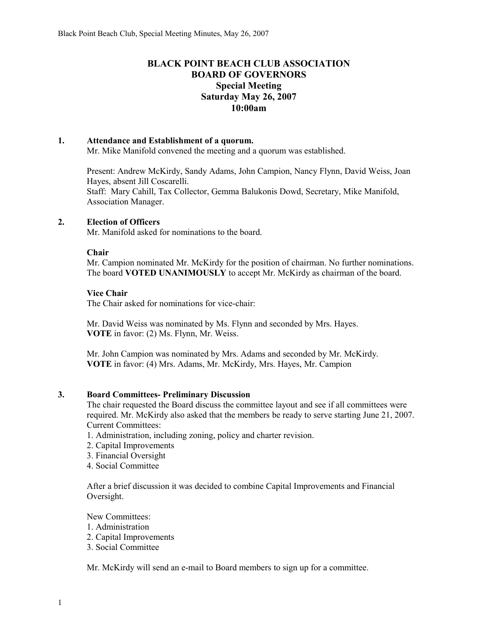# **BLACK POINT BEACH CLUB ASSOCIATION BOARD OF GOVERNORS Special Meeting Saturday May 26, 2007 10:00am**

# **1. Attendance and Establishment of a quorum.**

Mr. Mike Manifold convened the meeting and a quorum was established.

Present: Andrew McKirdy, Sandy Adams, John Campion, Nancy Flynn, David Weiss, Joan Hayes, absent Jill Coscarelli. Staff: Mary Cahill, Tax Collector, Gemma Balukonis Dowd, Secretary, Mike Manifold, Association Manager.

## **2. Election of Officers**

Mr. Manifold asked for nominations to the board.

## **Chair**

Mr. Campion nominated Mr. McKirdy for the position of chairman. No further nominations. The board **VOTED UNANIMOUSLY** to accept Mr. McKirdy as chairman of the board.

## **Vice Chair**

The Chair asked for nominations for vice-chair:

Mr. David Weiss was nominated by Ms. Flynn and seconded by Mrs. Hayes. **VOTE** in favor: (2) Ms. Flynn, Mr. Weiss.

Mr. John Campion was nominated by Mrs. Adams and seconded by Mr. McKirdy. **VOTE** in favor: (4) Mrs. Adams, Mr. McKirdy, Mrs. Hayes, Mr. Campion

#### **3. Board Committees- Preliminary Discussion**

The chair requested the Board discuss the committee layout and see if all committees were required. Mr. McKirdy also asked that the members be ready to serve starting June 21, 2007. Current Committees:

1. Administration, including zoning, policy and charter revision.

- 2. Capital Improvements
- 3. Financial Oversight
- 4. Social Committee

After a brief discussion it was decided to combine Capital Improvements and Financial Oversight.

New Committees: 1. Administration

- 2. Capital Improvements
- 3. Social Committee

Mr. McKirdy will send an e-mail to Board members to sign up for a committee.